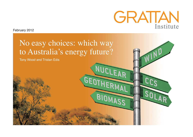

February 2012

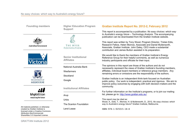

## **Grattan Institute Report No. 2012-2, February 2012**

This report is accompanied by a publication: *No easy choices: which way to Australia's energy future – Technology Analysis.* The accompanying publication can be downloaded from the Grattan Institute website.

This report was written by Tony Wood, Program Director, Tristan Edis, Research Fellow, Helen Morrow, Associate and Daniel Mullerworth, Associate, Grattan Institute. John Daley, CEO made a substantial contribution and James Button assisted in its preparation.

We would like to thank the members of Grattan Institute's Energy Reference Group for their helpful comments, as well as numerous industry participants and officials for their input.

The opinions in this report are those of the authors and do not necessarily represent the views of Grattan Institute's founding members, affiliates, individual board members or reference group members. Any remaining errors or omissions are the responsibility of the authors.

Grattan Institute is an independent think-tank focused on Australian public policy. Our work is independent, practical and rigorous. We aim to improve policy outcomes by engaging with both decision-makers and the community.

For further information on the Institute's programs, or to join our mailing list, please go to: http://www.grattan.edu.au/

This report may be cited as:

Wood, A., Edis, T., Morrow, H. & Mullerworth, D., 2012, *No easy choices: which way to Australia's energy future?* Grattan Institute, Melbourne.

ISBN: 978-1-925015-18-8

GRATTAN Institute 2012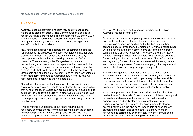# **Overview**

Australia must substantially and relatively quickly change the nature of its electricity supply. The Commonwealth's goal is to reduce Australia's greenhouse gas emissions to 80% below 2000 levels by 2050. Much of this reduction will need to come from changes in electricity production, while keeping energy secure and affordable for Australians.

How might this happen? This report and its companion detailed report assess the prospects for seven technologies that generate electricity with near-zero emissions, and which are already developed enough that large-scale deployment by 2050 is plausible. They are wind, solar PV, geothermal, nuclear, concentrating solar power, carbon capture and storage and bioenergy. We assess the current performance and future potential of each, and what would need to change for it to be deployed at large scale and at sufficiently low cost. Each of these technologies might materially contribute to Australia's future energy mix. All face obstacles to achieving their full potential.

Considering the seven technologies together, Australia has no quick fix or easy choices. Despite current projections, it is possible that none of the technologies can produce power at a scale and at costs similar to today's electricity. In other words, existing policies will not on their own produce the transformation we need. The carbon pricing scheme, while a good start, is not enough. So what is to be done?

First, to minimise uncertainty about future returns due to regulatory changes the government must implement the scheme without compromising its core design and governance. This includes the processes for setting emissions caps and scheme

reviews. Markets must be the primary mechanism by which Australia reduces its emissions.

To ensure markets work properly, government must also remove barriers to deployment of several technologies, such as transmission connection hurdles and subsidies to incumbent technologies. Yet even then, it remains unlikely that enough funds will be invested in the short term to give any of the low-carbon technologies a chance to deliver. The reasons are many. Early movers face higher costs than followers. Finance costs are higher for technologies that are not well understood. New infrastructure and regulatory frameworks must be developed, imposing delays and costs on early movers. Resource mapping is inadequate and some technologies lack long-term public support.

Early movers get little reward for paying these higher costs. Because electricity is an undifferentiated product, innovations do not earn more, and intellectual property may not be defensible. Early movers cannot bank the full value of projected higher longterm revenues for low-emissions electricity because government policy on climate change and energy is inherently unreliable.

As a result, private sector investment will deliver less than the best outcome for Australia. Governments should therefore support research and development in areas of national interest, and demonstration and early-stage deployment of a suite of technology options. It is not easy for governments to steer a course between, on the one hand, inadequate support for lowcarbon technologies, and on the other, picking winners or favouring one technology over another. How they should do so will be the subject of a forthcoming Grattan report.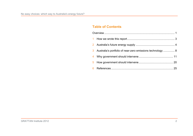# **Table of Contents**

| 3 Australia's portfolio of near-zero emissions technology  8 |  |
|--------------------------------------------------------------|--|
|                                                              |  |
|                                                              |  |
|                                                              |  |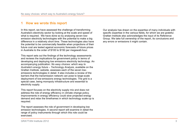## **1 How we wrote this report**

In this report, we have assessed the challenge of transforming Australia's electricity sector by looking at the scale and speed of what is required. We have done so by analysing seven lowemission electricity technologies with the potential to make a big difference in a relatively short time. These technologies also have the potential to be commercially feasible when projections of their future cost are tested against economic forecasts of future prices in Australia to the order of \$100 to \$150 per megawatt-hour.

This report sets out the findings of the technology assessments and reviews the implications for government policy in terms of developing and deploying low emissions electricity technology. An accompanying publication: *No easy choices: which way to Australia's energy future – Technology Analysis,* available on the Grattan Institute, website, assesses each of the seven lowemissions technologies in detail. It also includes a review of the barriers that the transmission network can pose to large-scale deployment of low-emissions energy technologies. The grid is a special case, being monopoly infrastructure and essential to electricity supply.

This report focuses on the electricity supply mix and does not address the role of energy efficiency in climate change policy. Improvements in energy efficiency could slow projected energy demand and relax the timeframes in which technology scale-up is required.

The report assesses the role of government in developing low emission technologies. A second report will examine in detail the range of policy instruments through which this role could be exercised.

Our analysis has drawn on the expertise of many individuals with specific expertise in the various fields, for which we are grateful. Grattan Institute also acknowledges the input of its Reference Group. We take full ownership of the report, its conclusions and any errors or emissions it might contain.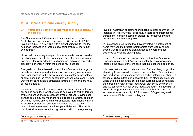# **2 Australia's future energy supply**

### **2.1 Australia's electricity sector must change substantially and quickly**

The Commonwealth Government has committed to reduce Australia's greenhouse gas emissions by 80 per cent of 2000 levels by 2050. This is in line with a global objective to limit the risk of an increase in average global temperature of more than two degrees.

Historically, stationary energy policy in Australia has focussed on supplying electricity that is both secure and affordable. Australia has now effectively added a third objective: achieving low-carbon electricity generation within the coming four decades.

The goal could be achieved in a number of ways, but a large part is likely to come from reductions in Australia's physical emissions, and from changes in the mix of Australia's electricity technology supply, since it is the major contributor to these emissions.<sup>1</sup> Other ways to meet Australia's emissions targets are either more risky or less plausible.

For example, it would be unwise to rely entirely on international emissions permits, in which Australia achieves its carbon targets by buying emissions reduction achieved overseas. Buying such permits could play an important role in reaching targets, as other countries may be able to cut their emissions more cheaply than in Australia. But there is considerable uncertainty as to how international agreements and linkages will develop. The risk is that Australia's emissions trading partners will not recognise high

levels of Australian abatement originating in other countries (for instance in Asia or Africa), especially if there is no international agreement to enforce common standards for accounting and verification of abatement projects.

In this scenario, countries that have invested in abatement at home may seek to protect their markets from 'dodgy carbon' goods. Australia could be disadvantaged by border taxes designed to level the playing field.

Figure 2.1, based on projections modelled for the Australian Treasury for global and Australian electricity sector emissions indicates the scale of the changes that this challenge demands.

It is clear that we cannot rely simply on fuel switching to gas-fired electricity to achieve all our emissions reductions. Conventional gas-fired power plants can achieve a carbon intensity of about 0.4 tonnes of CO<sub>2</sub> emitted per megawatt-hour of electricity produced. While this is a substantial cut on most current power generation – the carbon intensity of coal-fired power stations is between 0.8 and 1.2 tonnes of  $CO<sub>2</sub>$  for every megawatt-hour -- it is too high to be a sole long-term solution. It is estimated that Australia must achieve a carbon intensity of 0.2 tonnes of  $CO<sub>2</sub>$  per megawatthour or lower if it is to meet its targets.<sup>2</sup>

 $\overline{1}$  $1$  DCCEE (2011), Garnaut (2008)

GRATTAN Institute 2012 4

 2 Australian Treasury (2011)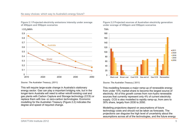**Figure 2.1 Projected electricity emissions intensity under average of 450ppm and 550ppm scenarios**





*Source: The Australian Treasury, (2011)*

This will require large-scale change in Australia's stationary energy sector. Gas can play a important bridging role, but in the longer-term Australia will need to either retrofit existing coal and gas plants with Carbon Capture and Storage technology (CCS) or replace them with low- or zero-carbon technologies. Economic modelling for the Australian Treasury (Figure 2.2) indicates the degree and speed of required change.

#### **Figure 2.2 Projected sources of Australian electricity generation under average of 450ppm and 550ppm scenarios**



*Source: The Australian Treasury,( 2011)*

This modelling foresees a major ramp-up of renewable energy from under 10% market share to become the largest source of electricity. All of this growth comes from non-hydro renewable sources that currently represent only 4% of current electricity supply. CCS is also modelled to rapidly ramp-up, from zero to 30% share, largely from 2030 to 2050.

Modelling projections depend on assumptions of future technology costs and should not be taken as forecasts. The projections can disguise the high level of uncertainty about the assumptions across all of the technologies, and the future energy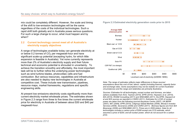mix could be completely different. However, the scale and timing of the shift to low-emission technologies will be the same regardless of the costs of the individual technologies. Such a rapid shift both globally and in Australia poses serious questions. For such a large change to occur, what must happen and by when?

#### **2.2 Current technology cannot meet all of Australia's electricity supply objectives**

A range of technologies available today can generate electricity at or below 0.2 tonnes of  $CO<sub>2</sub>$  per megawatt-hour and have significant scale-up potential (excepting hydro, for which little expansion is feasible in Australia). Yet none currently represents more than 2% of Australia's electricity supply and their future technical and economic potential is shrouded in uncertainty. To achieve the transition smoothly and affordably, the most important task will be to further refine the underlying power technologies such as wind turbine blades, photovoltaic cells and fuel combustion. But various resources, capabilities and infrastructure are also needed to deploy new technologies in Australia at competitive cost. These include new transmission, pipelines, resource maps, market frameworks, regulations and specific engineering skills.

At present low emissions electricity costs significantly more than current electricity market wholesale prices. The estimates shown in Figure 2.3 range from three to five times the current wholesale price for electricity in Australia of between about \$30 and \$40 per megawatt-hour.

**Figure 2.3 Estimated electricity generation costs prior to 2015**



*Note: The range of estimates reflects major differences in these sources' assumptions about the cost of fuel, labour, capital (including finance), capacity factor and exchange rates. Some assumptions may not be realistic for current Australian circumstances and the range and relativities are primarily illustrative.*

*Sources: Estimates for all technologies, except nuclear and biomass, are taken (where available) from ACIL Tasman (2010), EPRI (2010), Hayward, et al. (2010), IEA (2010), ROAM Consulting (2011) and SKM-MMA (2011), the EPRI, Hayward et al and IEA sources as reported in CSIRO (2011). Estimates for LCOE of nuclear power are taken from the following sources:Keystone Centre (2007), UK BERR (2007), MIT (2009), EPRI (2010), Citigroup Global Markets (2009), Moody's Investor Services (2008), Severance (2009) and CSIRO (2011). Biomass figures are from IEA Bioenergy (2009) and SKM-MMA (2011). Prices are in 2009 dollars. Data for all technologies includes a carbon price of \$28/t except one CCS estimate, which assumes a price of \$25/t, and all nuclear power, which do not account for a carbon price.*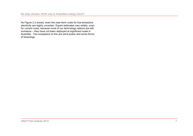As Figure 2.3 shows, even the near-term costs for low-emissions electricity are highly uncertain. Expert estimates vary widely, even for current costs, because most of our technology options are still immature – they have not been deployed at significant scale in Australia. Two exceptions to this are wind power and some forms of bioenergy.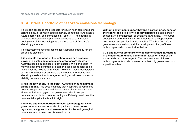# **3 Australia's portfolio of near-zero emissions technology**

This report assesses the prospects for seven near-zero emissions technologies, all of which could materially contribute to Australia's future energy mix, as summarised in Table 3.1. The shading in this table indicates the depth of the obstacles to commercial deployment of the technology as a material part of Australia's electricity generation.

This assessment has implications for Australia's strategy for low emissions electricity.

**It is possible that none of the technologies can produce power at a scale and at costs similar to today's electricity**.

Australia has no quick fixes or easy choices. Wind and solar PV may well become commercial if carbon prices rise to forseeable levels over the next 20 to 30 years. However, these technologies can inherently not provide more than about 50% of Australia's electricity needs without storage technologies whose commercial viability remains uncertain.

**Given the lack of any "sure bets", Australia should maintain** 

**all the options.** This does not imply that *Australian* governments need to support research and development of every technology. However, it does suggest that government should support demonstration plants of any technology sufficiently developed that commercial application is within sight.

**There are significant barriers for each technology for which governments are responsible**. In particular, better network regulation, and government assessments of solar and geological resources, are required, as discussed below.

**Without government support beyond a carbon price, none of the technologies is likely to be developed** to be commercially competitive, demonstrated, or deployed in Australia. The current deployment of wind and solar PV in Australia has depended on government support for financial viability. Whether *Australian*  governments should support the development of any of these technologies is discussed further below.

**CCS and nuclear are unlikely to be demonstrated in Australia in the near future unless government takes on most of the material risks of the project**. The demonstration of these technologies in Australia involves risks that only government is in a position to bear.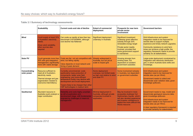|  |  |  |  | Table 3.1 Summary of technology assessments |
|--|--|--|--|---------------------------------------------|
|--|--|--|--|---------------------------------------------|

|                              | <b>Scaleability</b>                                                                                                                                   | <b>Current costs and rate of decline</b>                                                                                                                                                                                                                                                         | <b>Extent of commercial</b><br>deployment                                                       | Prospects for near term<br>private sector<br>involvement                                                                                                                                                     | <b>Government barriers</b>                                                                                                                                                                                                                                                                                     |
|------------------------------|-------------------------------------------------------------------------------------------------------------------------------------------------------|--------------------------------------------------------------------------------------------------------------------------------------------------------------------------------------------------------------------------------------------------------------------------------------------------|-------------------------------------------------------------------------------------------------|--------------------------------------------------------------------------------------------------------------------------------------------------------------------------------------------------------------|----------------------------------------------------------------------------------------------------------------------------------------------------------------------------------------------------------------------------------------------------------------------------------------------------------------|
| Wind                         | Could supply at least 20%<br>of Australia's electricity<br>needs.<br>Given wind variability,<br>other sources also<br>required                        | Can scale up rapidly at less than key<br>benchmark of \$150/MWh, although<br>cost decline has flattened                                                                                                                                                                                          | Significant deployment<br>underway in Australia                                                 | <b>Significant investment</b><br>underway given effective<br>subsidy through 20%<br>renewable energy target<br>Private sector readily<br>involved, provided that<br>some government support<br>is maintained | Grid infrastructure and system<br>integration needs to be improved for<br>remote sites to support multiple,<br>expensive and timely network upgrades.<br>Community resistance to wind farm<br>noise can achieve a high profile: the<br>regulatory framework needs to provide<br>certainty for all stakeholders |
| Solar PV                     | Could generate more than<br>30% with grid integration<br>management; significantly<br>more with viable storage                                        | Costs are fair, not yet competitive with<br>wind, but falling rapidly<br>Value depends on local network and<br>timing of peak demand                                                                                                                                                             | Already widespread in<br>Australia, but not yet at<br>scale to impact grid                      | Growing strongly from<br>existing base, but<br>dependent on existent<br>government subsidies                                                                                                                 | Large-scale deployment constrained by<br>integration with electricity distribution<br>grid, in which Australia lacks skills and<br>knowledge.                                                                                                                                                                  |
| Concentrating<br>solar power | Resource sufficient to<br>meet all of Australia's<br>electricity needs<br>Thermal storage and gas<br>cogeneration needed to<br>overcome intermittency | Currently uncommercial; costs<br>(particularly mass production of<br>components, better solar field<br>engineering, and more efficient<br>temperature fluids) may decline with<br>development and broad deployment.<br>Towers likely to be cheaper than other<br>CSP technologies in medium term | Some deployment<br>overseas, but limited scale<br>as high cost relative to wind<br>and solar PV | Some involvement already<br>in Australia, but dependent<br>on government subsidies                                                                                                                           | Grid infrastructure and system<br>integration need to be improved for<br>remote sites (as per Wind).<br>Government needs to collect and<br>disseminate solar radiation data, given<br>knowledge spillovers.                                                                                                    |
| Geothermal                   | Abundant resource in<br>Australia could underpin a<br>major contribution                                                                              | Reliability and costs highly uncertain<br>as still at exploration and<br>development stage, with fundamental<br>engineering challenges in reservoir<br>management                                                                                                                                | Minimal deployment in<br>Australia, although private<br>companies involved in<br>exploration    | May be involved in more<br>accessible shallower Hot<br>Sedimentary Aquifer, which<br>will also develop experience<br>and investor confidence to<br>exploit the more difficult Hot<br>Rocks resource.         | Government needs to map, model and<br>disseminate geological resource data,<br>given knowledge spillovers<br>Grid infrastructure and system<br>integration needs to be improved for<br>remote sites (as per Wind).<br>A clear regulatory framework is required<br>to provide certainty for stakeholders.       |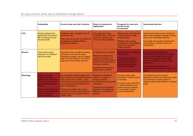|                  | <b>Scaleability</b>                                                                                                                                                                                                                             | Current costs and rate of decline                                                                                                                                                                                                                                                                                                                        | <b>Extent of commercial</b><br>deployment                                                                                                                                                                                           | Prospects for near term<br>private sector<br>involvement                                                                                                                                                           | <b>Government barriers</b>                                                                                                                                                                                                                                                                        |
|------------------|-------------------------------------------------------------------------------------------------------------------------------------------------------------------------------------------------------------------------------------------------|----------------------------------------------------------------------------------------------------------------------------------------------------------------------------------------------------------------------------------------------------------------------------------------------------------------------------------------------------------|-------------------------------------------------------------------------------------------------------------------------------------------------------------------------------------------------------------------------------------|--------------------------------------------------------------------------------------------------------------------------------------------------------------------------------------------------------------------|---------------------------------------------------------------------------------------------------------------------------------------------------------------------------------------------------------------------------------------------------------------------------------------------------|
| <b>CCS</b>       | Could contribute very<br>significantly and extend<br>life of existing and coal<br>and gas plants                                                                                                                                                | Projected costs competitive, but not<br>proven at scale.<br>Early costs will be high as models are<br>developed to integrate different<br>stages and interests                                                                                                                                                                                           | Only deployed for gas<br>production fields, which are<br>much less complex than<br>CCS for power generation                                                                                                                         | Absolute size of investment<br>a major barrier for early<br>mover projects<br>Difficult to set up given<br>complexity of many different<br>stages and industries<br>working together                               | Government needs to map, model and<br>disseminate geological storage resource<br>data, given knowledge spillovers.<br>Clear legal and regulatory frameworks<br>are required to provide certainty for<br>stakeholders.                                                                             |
| <b>Nuclear</b>   | Could meet a large<br>proportion of Australia's<br>electricity needs                                                                                                                                                                            | New-build costs uncertain as limited<br>experience in the last 25 years.<br>Developing designs may be cheaper,<br>safer and more efficient, but at R&D<br>stage and commercially unproven                                                                                                                                                                | No deployment in Australia<br>Widespread deployment<br>overseas in the past, but<br>limited recent deployment in<br><b>Western Europe and North</b><br>American countries.<br>Deployment continuing in<br>several other countries   | Absolute size of investment<br>a major barrier<br><b>Financial and regulatory</b><br>risks make private sector<br>involvement unlikely in<br>Australia without strong<br>public sector support                     | Including legal and regulatory<br>frameworks the lead time in Australia<br>would be 15-20 years. Government<br>could reduce this by about 5 years<br>without committing to build a nuclear<br>power plant<br>Sustained public engagement is<br>essential for developing a nuclear power<br>option |
| <b>Bioenergy</b> | <b>Significant energy</b><br>available, although<br>unlikely to be more than<br>20% of energy demands<br>given competing needs<br>for food.<br>Easy to control short-run<br>output to meet peak daily<br>demand, but some<br>seasonal variation | Not competitive unless supply chain<br>from production to transport improved<br>likely to take over 10 years. Local<br>customisation required, particularly for<br>nature of demand for electricity and<br>heat and feedstock<br>Commercial viability also may be<br>enhanced through improvements to<br>reduce minimum economic scale to<br><5MW plants | <b>Employed at significant</b><br>scale in a number of<br>countries and the<br>combustion technology well-<br>understood.<br><b>Feedstocks with greatest</b><br>potential in Australia only<br>deployed in a handful of<br>projects | Several private sector<br>developers already involved<br>in Australia.<br>At current costs, some form<br>of additional government<br>support will be necessary<br>for meaningful levels of<br>project development. | <b>Grid infrastructure and system</b><br>integration needs to be improved to cater<br>for connection of large number of<br>relatively small power stations in regional<br>areas                                                                                                                   |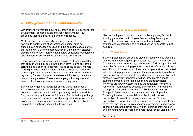# **4 Why government should intervene**

Government intervention beyond a carbon price is required for the development, demonstration and early deployment of low emissions technologies, for a number of reasons.

Markets cannot work properly unless government removes barriers to deployment of several technologies, such as transmission connection hurdles and the enduring subsidies we outline below. Government regulation of transmission distorts electricity generation markets against low emissions technologies and in favour of conventional coal and gas generation.

Even if government removes these obstacles, it remains unlikely that enough will be invested in the short term to give any of the technologies a chance to deliver. That is because early movers face higher costs than followers. Finance costs are higher for technologies that are not well understood. New infrastructure and regulatory frameworks must be developed, imposing delays and costs on early movers. Resource mapping is inadequate and some technologies lack long-term community support.

Early movers get little reward for paying these higher costs. Because electricity is an undifferentiated product, innovations do not earn more, and intellectual property may not be defensible. Early movers cannot bank the full value of projected higher longterm revenues for low emissions electricity because government policy on climate change and energy is inherently not reliable. This section analyses these difficulties in detail.

#### **4.1 Government regulatory barriers**

New technologies do not compete on a level playing field with existing generation technologies, because they face higher barriers to transmission, may not share the subsidies provided to existing energy sources and a "public licence to operate" is not assured.

### **4.1.1 Transmission**

Several potential low emissions electricity technologies would be located in a different geographic pattern to existing generation. Some substantial generators, such as wind, CSP and geothermal, would be far from existing generation centres. Others, such as solar PV and biomass, would involve small generators distributed within existing population centres. Existing transmission networks and network regulation are designed around the assumption that almost all electricity generators will be large plants close to existing centres of generation. Decisions on transmission networks are largely determined by the regulatory framework rather than market forces because transmission is a regulated monopoly business in Australia. The Ministerial Council on Energy, in 2010, noted<sup>3</sup> that transmission network providers "currently have no commercial incentive to build network connections to an efficient scale in anticipation of future connection". The result is that new wind farms or large-scale solar farms may be located to avoid incurring transmission connection charges when alternatives requiring an improved transmission system might have delivered an overall lower cost outcome. New

 $\overline{a}$  $^3$  MCE (2010)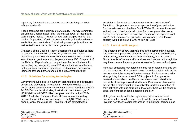regulatory frameworks are required that ensure long-run costefficient trade-offs.

These problems are not unique to Australia. The UK Committee on Climate Change noted<sup>4</sup> that "the market power of incumbent technologies makes it harder for new technologies to enter the market. Supporting infrastructure – primarily grid and pipelines – are built around centralised 'baseload' power supply and are not well suited to remote or distributed generation."

Chapter 9 of the Detailed Report describes the particular barriers to securing transmission connection, including first mover disadvantage, for key low-emissions technologies such as wind, solar thermal, geothermal and large-scale solar PV. Chapter 3 of the Detailed Report sets out the particular barriers that exist in connecting and integrating solar PV within distribution networks, including misalignment of incentives for distributed generation. Removal of these barriers should be a government priority.

## **4.1.2 Subsidies for existing technologies**

Government subsidies to incumbent technologies and structures continue to discourage innovation in new technologies. A 2011 OECD study estimated the level of subsidies for fossil fuels within 24 OECD countries (including Australia) to be in the range of US\$45 billion to US\$75 billion per year over the period 2005- 2010.<sup>5</sup> Australian State and Federal Government budgetary support for fossil fuels was estimated to be US\$7.2 billion per annum, whilst the Australian Taxation Office<sup>6</sup> estimated the

Committee on Climate Change (2010)

 $\overline{a}$ 

GRATTAN Institute 2012 12

subsidies at \$8 billion per annum and the Australia Institute<sup>7</sup>, \$9.3billion. Proposals to reserve a proportion of gas production for domestic use and the New South Wales Government's recent action to subsidise local coal prices for power generation are a further example of such intervention. Based on the reported coal price<sup>8</sup>, and using current prices for coal exports<sup>9</sup>, the effective subsidy would be around \$300 million per year.

## **4.1.3 Lack of public support**

The deployment of new technologies in the community inevitably raises real and perceived concerns about threats to public health, water quality, asset values and visual amenity, among others. Governments influence and/or address such concerns through the way they communicate support or otherwise for new technologies.

Most low-emissions technologies in this report raise some sub-set of such concerns. For nuclear power, there is considerable public concern about the safety of the technology. Public concerns with storage integrity have caused CCS projects in Europe to be delayed or cancelled. Health concerns have been raised from residents close to proposed wind farms. Geothermal plants raise issues about their impact on groundwater, and the interaction of their activities with gas extraction. Inevitably there will be concern about their impact on local geological stability.

Until governments settle the regulations defining how these concerns will or won't be met, people will be more reluctant to invest in new technologies rather than in incumbent technologies

 $\overline{a}$ 

 $5$  OECD (2011b)

 $^6$  ATO (2010)

Dennis and Macintosh  $(2011)$ 

 $\frac{8}{1}$  IES (2011)

 $^9$  ACIL $\,$  Tasman (2011)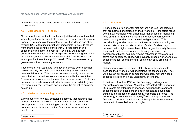where the rules of the game are established and future costs more certain.

#### **4.2 Market failure – in theory**

Government intervention in markets is justified where actions that would benefit society do not also result in a commensurate private benefit.<sup>10</sup> For example, the creators of new knowledge and skills through R&D often find it practically impossible to exclude others from sharing the benefits of their work. Private firms in this situation are reluctant to invest in R&D if they will not earn additional revenue for their R&D expenditure. Without government intervention, market-driven investment in R&D will be less than would provide the optimal public benefit. This is one reason why governments fund university research.

Thus there is "market failure" whenever a private actor does not take on socially desirable costs because they won't result in commercial returns. This may be because an early mover incurs costs that also benefit subsequent entrants, with the result that followers have lower costs but earn the same revenues. Or it may be because private actors individually perceive uncertainty (which they treat as a cost) whereas society sees the collective outcome as certain.

#### **4.3 Market structure – high costs**

Early movers on new low emissions electricity technologies face higher costs than followers. This is true for the research and development of these technologies, and is also an issue for demonstration plants and the first few plants constructed in a jurisdiction.

#### **4.3.1 Finance**

Finance costs are higher for first movers who use technologies that are not well understood by their financiers. Financiers faced with a new technology will either incur higher costs in managing risks unfamiliar from conventional generation, or will see the project as higher risk than conventional generation. This perceived higher risk may spur the financier to demand a higher interest rate or internal rate of return. Or debt funders may demand that a higher percentage of the project be equity financed than would be the case for conventional generation. The perception of higher risk may also be reflected in more onerous terms and conditions. These will inevitably impose higher effective costs of finance, so that the total costs of an early project are higher.

Subsequent projects will have relatively lower finance costs because their financiers will understand the technologies. They will have an advantage in competing with early movers whose cost base reflects the initial uncertainty of lenders.

In their report for the IPCC on the financing challenges for renewable energy projects, Mitchell et al<sup>11</sup> noted: "Developers of RE projects are often under-financed. Additional development costs imposed by financiers on under-capitalized developers during due diligence can significantly jeopardize a project". The UK Energy Research Centre  $(2007)^{12}$  also highlighted these financing challenges in relation to high capital cost investments common to low-emission technologies.

 $\overline{a}$  $11$  Mitchell et al (2011)

 $12$  Gross et al (2007)

 $\overline{1}$  $10$  Stern (2007)

GRATTAN Institute 2012 13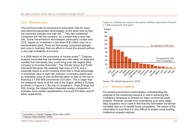#### **4.3.2 Minimum scale**

The minimum scale of investment is particularly high for many new electricity generation technologies, at the same time as they are inherently complex and high risk.<sup>13</sup> Very few substantial companies will "bet the company" on a project that is also high risk. Some low-emissions technologies, particularly nuclear and CCS, require an investment in the order of \$1 billion even for a demonstration plant. There are few energy companies globally, and none in Australia, that can afford to invest this amount without a very high probability of success.

In a 2009 report on the economics of nuclear power<sup>14</sup>, Citigroup analysts concluded that the development risks were "so large and variable that individually they could bring even the largest utility company to its knees financially". The Climate Group and Ecofin estimated that given the relatively high risks of CCS, and a corporate desire to avoid investing more than a small percentage of enterprise value in high-risk ventures, a company would need an enterprise value of over EURO100 billion to take on the risk of financing a 1,000 MW commercial CCS plant. This is larger than the enterprise value of all but one of the largest utilities in Europe, as shown in Figure 4.1. By way of comparison, Origin Energy and AGL Energy, the largest listed integrated energy companies in Australia, have market capitalisations of around \$16 billion and \$7 billion respectively.



**Figure 4.1 Enterprise value of European utilities required to finance a 1,000 megawatt CCS plant**

*Source: The Climate Group et al., (2010)*

#### **4.3.3 Resource mapping**

For several low-emission technologies, understanding the potential of the underlying resource is vital to achieving the confidence necessary to embark on major commercial-scale projects. However, private firms undertaking such early-stage data acquisition incur costs in that that the information will almost inevitably leak out to benefit future competitors. The nature of the information is such that it is very difficult to protect using existing intellectual property regimes.

 $\overline{1}$  $13$  Committee on Climate Change (2010), Stern (2007)

<sup>&</sup>lt;sup>14</sup> Citigroup Global Markets (2009)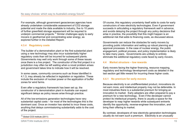For example, although government geosciences agencies have already undertaken considerable assessment of CO2 storage potential and made the data available to industry, five to 10 years of further greenfield storage assessment will be required to underpin commercial projects.<sup>15</sup> Similar challenges apply to early movers in geothermal and concentrating solar energy, as explored further in the Detailed Report.

## **4.3.4 Regulatory costs**

The builder of a demonstration plant or the first substantial plant using a new technology may also incur substantially higher regulatory costs than will be incurred for subsequent plants. Governments may well only work through some of these issues once there is a live project. The constructor of the first project in a jurisdiction may often be left waiting when a novel problem arises and government takes time to indicate how it will be resolved.

In some cases, community concerns such as those identified in 4.1.3, may already be reflected in legislation or regulation. These include the exclusion of nuclear power or the application of buffer zones for wind farms.

Even after a regulatory framework has been set up, the constructor of a demonstration plant in Australia can expect significant delays as policy issues arise through practice.

All of the low-emissions generation technologies have very substantial capital costs – for most of the technologies this is the dominant cost. Once an investor has started to incur these costs, anything that delays commissioning substantially adds to the cost of the project.

Of course, this regulatory uncertainty itself adds to costs for early constructors of new electricity technologies. Even if government succeeds in articulating a regulatory framework well in advance, and avoids delaying the project through any policy decisions that arise in practice, the *possibility* that this might happen is an additional risk that adds to financing costs, as discussed above.

Governments can reduce the obstacles for early movers by providing public information and setting up robust planning and approval processes. In the case of nuclear energy, the public engagement, political process, and policy implementation is likely to take many years. Governments are unlikely to entirely eliminate the additional regulatory costs faced by early movers.

## **4.4 Market structure – low rewards**

Early movers facing the higher financing, resource mapping, regulatory and technology development costs as detailed in the last section get little reward for incurring these higher costs.

## **4.4.1 No premium for early movers**

Because electricity is an undifferentiated product, innovations do not earn more, and intellectual property may not be defensible. In most industries there is a substantial premium for bringing an innovation to market. Early adopters are often prepared to pay a premium for a new technology. Even if the developer cannot protect its intellectual property, there is usually a space for the developer to reap higher rewards while subsequent entrants identify the opportunity, reverse-engineer the innovation, and bring their offering to market.

By contrast, developers of new electricity generation technologies usually do not earn such a premium. Electricity is an unusually

 $\overline{1}$ <sup>15</sup> Global CCS Institute (2011)

GRATTAN Institute 2012 15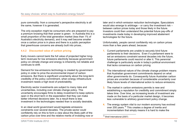pure commodity: from a consumer's perspective electricity is all the same, however it is generated.

The only exception might be consumers who are prepared to pay a premium knowing that their power is green. In Australia this is a small proportion of the total generation market (less than 1% of Australia's electricity demand), and it may well become smaller once a carbon price is in place and there is a public perception that greenhouse concerns are already built into prices..

## **4.4.2 Discounted value of carbon pricing**

Early movers cannot bank the full value of projected higher longterm revenues for low emissions electricity because government policy on climate change and energy is inherently not reliable and continues to shift.

Demand for low-emissions technology is created by government policy in order to price the environmental impact of carbon emissions. But there is significant uncertainty about the long-term credibility of the policy commitment, when energy infrastructure investment needs a high level of predictability.

Electricity sector investments are subject to many risks and uncertainties, including over climate change policy. This uncertainty encourages firms to delay investment to keep options open in the short term in the expectation that they can make better informed decisions later. As a result there is less investment in the technologies needed than is socially desirable.

In an ideal world government would legislate emissions constraints over several decades. The private sector could confidently rely on this to form a view about the likely path of the carbon price over time and the relative merits of investing now or

later and in which emission reduction technologies. Speculators would also emerge to arbitrage – or carry the investment risk – between carbon prices today and those likely in the future. Investors could then understand the potential future pay-offs of investments made today in developing improved abatement technologies for the future.

Unfortunately, people cannot confidently rely on carbon prices more than a few years ahead, because:

- **1.** Current parliaments are unable to securely bind future parliaments to their decisions. Even if a parliament were to set an emissions constraint several decades into the future, future parliaments could rescind or alter it. This perennial challenge is particularly acute in today's political environment that lacks consensus on carbon pricing.
- **2.** The international nature of the climate change problem means that Australian government commitments depend on what other governments do. Consequently future Australian carbon prices are uncertain because of considerable uncertainty over likely future levels of international action to reduce emissions.
- **3.** The market in carbon emissions permits is new and establishing a reputation for credibility and commitment simply takes time. Over time, as increasing levels of investment are made on the basis of a particular market design, it becomes less vulnerable to arbitrary government policy change.
- **4.** The energy system vital to our modern economy has evolved over 200 years.<sup>16</sup> This creates a degree of inertia and incrementalism that simply means it is hard to make the

 $\overline{a}$ <sup>16</sup> Shell International (2007)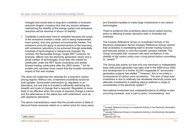changes that would lead to long-term credibility of emission reduction targets. Investors fear that any tension between maintaining the stability of the energy system and emissions reduction will be resolved in favour of stability.

**5.** Credibility is particularly hard to establish because the scope of the emissions market is wider, and is being implemented more quickly, than any previous environmental market. The emissions price will apply to several sectors of the economy, with emissions reductions to be achieved through potentially hundreds of technological or behavioural changes. By contrast, the Renewable Energy Target (RET) scheme, for example, affects only the electricity generation sector and a small number of technologies. Even then the market for certificates under the RET faced uncertainty and limited forward trading, particularly after the 2003 review, $17$  but its smaller and narrower focus meant that the broader economic impact of this was modest.

This does not undermine the rationale for a long-term carbon pricing regime. Without one, investment uncertainty would be even greater. Government intervention by regulation is an alternative, but one that is ill-suited to efficiently delivering the breadth and scale of change that is required. Regulation is more likely to be effective when the scope of required change is narrow and the alternatives to the status quo well understood, such as with appliance standards.

The above characteristics mean that the private sector is likely to discount future revenues reliant on a carbon price for many years, and therefore hesitate to make large investments in low carbon technologies.

There is evidence that uncertainty about future carbon pricing policy is affecting investor decisions both in Australia and overseas.

The Investor Reference Group on Investment Activity in the Electricity Generation Sector (Investor Reference Group) reports that uncertainty is manifesting itself in shorter trading horizons and reduced activity in over-the-counter contract markets. The Group concluded that '*investors will need confidence in the stability of the carbon policy over a long period before committing to...assets*'.<sup>18</sup>

The Group also points out that only one merchant or independent base load power generator has been built in the NEM since 2002, and development of a further 22,000 megawatts of 'announced' generation projects has stalled.<sup>19</sup> However, this is not solely a consequence of carbon price uncertainty. The lack of base load investment is due to relatively low wholesale electricity prices and alternate investments in peaking plant to address a range of uncertainties in the electricity system.<sup>20</sup>

Sub-optimal investment and underperformance of utilities is also occurring overseas, due in part to policy "inconsistency" and

 $\overline{a}$ 

 $\overline{1}$ <sup>17</sup> MMA (2002)

<sup>&</sup>lt;sup>18</sup> Investor Reference Group on Investment Activity in the Electricity Generation Sector (2011)

Investor Reference Group on Investment Activity in the Electricity Generation Sector (2011)  $20$  Garnaut (2011b)

GRATTAN Institute 2012 17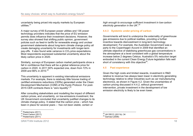uncertainty being priced into equity markets by European utilities.<sup>21</sup>

A major survey of 65 European power utilities and 136 power technology providers indicates that the price of EU emission permits does influence their investment decisions. However, the survey also showed that shifting public opinion, government policies such as feed-in tariffs for renewable energy and unclear government statements about long-term climate change policy all create damaging uncertainty for investments with longer-term pay-offs. It also found wide variance in  $CO<sub>2</sub>$  price expectations. Most respondents expressed substantial uncertainty about the likely carbon price in 2020.

Similarly, surveys of European carbon market participants show a fall in confidence that there will be a global reference price for carbon in 2020. In 2011 60% expected one, down from 72% in 2009 and 66% in 2010.<sup>22</sup>

This uncertainty is apparent in existing international emissions markets. For example, there is relatively little futures trading of certified emissions reductions (CERs) generated under the Clean Development Mechanism (CDM) of the Kyoto Protocol. For post-2015 CER contracts there is "zero liquidity".<sup>23</sup>

After consulting stakeholders and modelling the impact of different carbon prices, and uncertainty, on low-emissions investment, the UK Government concluded that uncertainty justified changes to its climate change policy. It stated that the carbon price – which has been in place for several years – '*has not been stable, certain or* 

GRATTAN Institute 2012 18

*high enough to encourage sufficient investment in low-carbon electricity generation in the UK'*. 24

### **4.4.3 Systemic under-pricing of carbon**

Governments will tend to underprice the externality of greenhouse gas emissions due to political realities, providing a further incentive towards disinvestment in long-term technology development. For example, the Australian Government was a party to the Copenhagen Accord in 2009 that identified an ultimate objective of stabilising greenhouse gas concentrations in the atmosphere at a level consistent with a global temperature increase below 2 degrees Celsius. Australia's 5% reduction target embodied in the current Clean Energy Future legislation falls well short of consistency with this objective $25$ .

## **4.5 Past experience**

Given the high costs and limited rewards, investment in R&D relative to revenue has always been lower in electricity generating technology relative to other industries such as car manufacturing electronics, as shown in Figure 4.2. Given the uncertainties of carbon pricing discussed in 4.4.2, without government intervention, private investment in the development of low emission electricity is likely to be even lower.

 $21$ Peetermans (2011)

 $22$  Point Carbon (2011)

 $23$  Peetermans (2011)

 $\overline{a}$  $^{24}$  UK DECC (2011b): 34  $^{25}$  Garnaut (2008)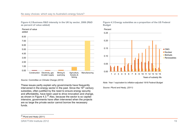#### No easy choices: which way to Australia's energy future?

**Figure 4.2 Business R&D intensity in the UK by sector, 2006 (R&D as percent of value added)**





*Source: Committee on Climate Change (2010)*

These issues partly explain why governments have frequently intervened in the energy sector in the past. Since the  $19<sup>th</sup>$  century subsidies, often justified by the need to ensure energy security and affordability, have been used to drive innovation and change, as shown in Figure 4.3.<sup>26</sup> Also, because the sector is so capitalintensive, governments have often intervened when the projects are so large the private sector cannot borrow the necessary funds.

**Figure 4.3 Energy subsidies as a proportion of the US Federal Budget**



*Note: Year 1 equivalent to inflation-adjusted 1918 Federal Budget*

*Source: Pfund and Healy, (2011)*

GRATTAN Institute 2012 2008 19

 $\overline{a}$  $^{26}$  Pfund and Healy (2011)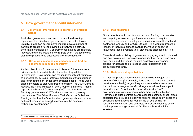# **5 How government should intervene**

#### **5.1 Government interventions to promote an efficient market**

Australian governments can act to reduce the distorting regulations that disadvantage new emissions technologies unfairly. In addition governments must remove a number of barriers to create a "level playing field" between electricity generation technologies. Generally these actions are relatively low cost, and there would be few regrets even if the technology ultimately proved to be unsuccessful or uncompetitive.

### **5.1.1 Structure emissions cap and associated trading scheme to minimise uncertainty**

As described in 4.4.2, investors will discount future emissions prices to reflect uncertainty about whether they will be implemented. Government can reduce (although not eliminate) this uncertainty by using "gateway mechanisms" that set upper and lower bounds on longer-term emissions caps. These would enable investors to plan with greater certainty. The 2008 Garnaut Review, the Prime Minister's Task Group on Emissions Trading report to the Howard Government (2007) and the State and Territory governments (2007) all advocated such gateway mechanisms. The Prime Minister's Task Group on Emissions Trading noted that the "medium-term gateways should...ensure sufficient pressure is applied to accelerate the expected technology development".<sup>27</sup>

### **5.1.2 Map resources**

Governments should maintain and expand funding of exploration and mapping of solar and geological resources to acquire information on resource quality and quantity for solar thermal and geothermal energy and for  $CO<sub>2</sub>$  Storage. This would redress the inability of individual firms to capture the value of capturing knowledge that is available to all players, as discussed in 4.3.3.

There is already a history of governments playing a valid role in oil and gas exploration. Geoscience agencies fund early-stage data acquisition and then make the data available to companies bidding for acreage to be released under exploration and production programs.

## **5.1.3 Reduce existing subsidies**

In Australia precise quantification of subsidies is subject to a degree of dispute (for example, does concessional tax treatment constitute a subsidy). A genuinely comprehensive assessment that included a range of non-fiscal regulatory distortions is yet to be undertaken. As well as the areas identified in 1.4.2, governments provide a range of other more subtle subsidies. They include price controls over residential electricity prices; cross subsidies that provide electricity to regional areas below costs; the continuing resistance to roll-out of time-of-use pricing for residential consumers; and contracts to provide electricity below market prices to large industrial facilities such as aluminium smelters.

 $\overline{a}$ <sup>27</sup> Prime Minister's Task Group on Emissions Trading (2007)

GRATTAN Institute 2012 20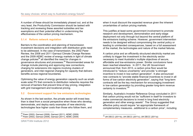A number of these should be immediately phased out, and at the very least, the Productivity Commission should be tasked with tracking and reviewing these assorted subsidies and tax exemptions and their potential effect in undermining the effectiveness of the carbon pricing mechanism.

## **5.1.4 Reform network regulation**

Barriers to the coordination and planning of transmission investment decisions and integration with distribution grids need to be addressed. In the case of transmission, the 2002 Parer Review, the 2008 and 2011 Garnaut Climate Change Reviews and the 2009 AEMC review of energy markets in light of climate change policies $^{28}$  all identified the need for changes in governance structures and processes.<sup>29</sup> Recommended areas for change include planning and approving new connections, charging for extensions into regions involving clusters of generators, and inter-regional charging for capacity that delivers benefits across regional boundaries.

Optimising the value of energy generation capacity such as smallscale solar PV that connects to distribution networks requires the removal of barriers that prevent time-of day pricing, integration with grid management and locational pricing.

## **5.2 Government support for low emissions technologies**

As shown in the last section, the private sector will invest less than is ideal from a social perspective when those who develop, demonstrate, and deploy early examples of new electricity technologies face higher costs than those who follow them, and

when it must discount the expected revenue given the inherent uncertainties of carbon pricing markets.

This justifies at least some government involvement to promote research and development, demonstration and early-stage deployment not only through but beyond the central platform of the emissions trading scheme. However, government intervention needs to be designed without compromising the central policy or leading to unintended consequences, based on a full assessment of the market, the technologies and nature of the market failures.

A carbon price and an efficiently structured electricity market are unlikely to trigger the investment in the electricity sector necessary to meet Australia's multiple objectives of secure, affordable and low-emissions power. Similar conclusions have been reached elsewhere. In 2011, the UK Government announced that, from 2013, a carbon price floor would be introduced to "reduce uncertainty" and provide "a stronger incentive to invest in low-carbon generation". It also announced new contracts to "provide stable financial incentives to invest in all forms of low-carbon electricity generation", saying that "long-term contracts will be the key mechanism for encouraging investment in low-carbon generation by providing greater long-term revenue certainty to investors."<sup>30</sup>

Similarly, Australia's Investor Reference Group concluded in 2011 that carbon pricing would not be "sufficient in itself for investors to make commercial decisions to invest in long lived electricity generation and other energy assets". The Group suggested that effective policy would require "an appropriate framework of complementary measures...additional to a carbon price", including

 $\overline{a}$  $^{28}$  Parer (2002), Garnaut (2008), Garnaut (2011), AEMC (2009)

<sup>29</sup> Parer (2002), Garnaut (2008), Garnaut (2011), AEMC (2009)

 $\overline{a}$  $^{\rm 30}$  UK DECC (2011b), UK DECC (2011c), UK DECC (2011a)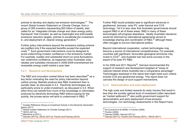policies to develop and deploy low emission technologies.<sup>31</sup> The recent Global Investor Statement on Climate Change, from a group of 285 investors representing \$20 trillion of assets, also called for an "integrated climate change and clean energy policy framework" that included, as well as meaningful and enforceable emissions reduction targets, policies to accelerate the investment in, and deployment of, cleaner energy generation.<sup>32</sup>

Further policy interventions beyond the emissions trading scheme are justified only if the expected benefits exceed the expected costs.<sup>33</sup> Such government interventions must be designed to avoid undermining investor confidence in the emissions market. For example, sudden and substantial short-run price fluctuations, can undermine confidence, as happened when Australian solar rebates and subsidies introduced in 2008-2009 overwhelmed the renewable energy credit market a year later.

## **5.2.1 Research and development**

The R&D and innovation market failure has been described  $34$  as a key factor motivating the need for policy intervention beyond carbon pricing. Markets produce less R&D investment than is socially ideal, as discussed in 4.2. Electricity technologies are particularly prone to under-investment, as discussed in 4.5. When other firms can benefit from much of the knowledge or information produced by electricity technology R&D without paying for the activity, the private sector will tend to underinvest in R&D.<sup>35</sup>

Further R&D would probably lead to significant advances in geothermal, biomass, solar PV, solar thermal and CCS technology. Yet it is less clear that *Australian* governments should support R&D in all of these areas. R&D in many of these technologies will progress elsewhere. Ideally Australian decisions would be informed by international agreements aimed at knowledge sharing and coordination of R&D, $^{36}$  although these often struggle to survive international politics.

Beyond international cooperation, certain technologies may become a source of international competitiveness. For example, countries with significant, favourable geological structures may invest in  $CCS<sup>37</sup>$ , and Australia has had some success in the export of its solar PV R&D.

In his 2008 and 2011 Reports $38$ , Garnaut recommended the support of research and development targeted at "areas of national interest where Australia has a comparative advantage". Technologies assessed in this report that might meet such criteria include CCS and geothermal energy. This report does not canvass the design of such support mechanisms.

## **5.2.2 Demonstration and early deployment**

The high costs and limited rewards for early movers that result in less than the socially optimal level of investment (often described as "market spillovers")<sup>39</sup> also justify government support for demonstration and early deployment of low-emission technologies. Our technology assessments in this Report have

 $\overline{a}$ 

 $\overline{a}$ <sup>31</sup> Investor Reference Group on Investment Activity in the Electricity Generation Sector (2011)

<sup>&</sup>lt;sup>32</sup> Global Investor Statement on Climate Change (2011)

 $33$  OECD (2011a)

 $34$  Mitchell et al (2011)

 $35$  Garnaut (2011a), OECD (2011a), Fischer and Preonas (2010)

 $36$  De Conninck et al (2008), in Fischer (2009)

 $37$  Fischer (2009)

<sup>38</sup> Garnaut (2008), Garnaut (2011c)

<sup>39</sup> Garnaut (2011c), Fischer and Preonas (2010 ), OECD (2011)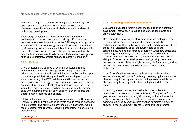identified a range of spillovers, including skills, knowledge and development of regulations. The financial market issues discussed in section 4.3 are particularly acute at this stage of technology development.

Technology development at the demonstration and early deployment stages involves more locally-specific issues and requires more overall funds than at the R&D stage, although risks associated with the technology per se will be lower. Intervention by *Australian* governments should therefore be aimed at projects and technologies likely to resolve these issues and reduce the costs to future players of locally-specific technology development, financing uncertainty, project risk and regulatory definition. $40$ 

## **5.2.3 Rollout**

Once emissions are capped through an emissions trading scheme, there is no case to support technologies beyond addressing the market and system failures identified in this report. It may be argued that setting an insufficiently stringent cap on emissions through the ETS justifies an additional mechanism such as renewable energy or low-emission energy quotas. Whilst an understandable next-best policy and attractive politically, it would be a poor response. The best solution is to set emission caps with environmental integrity, supported by measures that address market failures and barriers.

It follows that existing policy mechanisms such as the Renewable Energy Target and various feed-in-tariffs should then be assessed in this context. The elimination of these existing schemes would require careful management, including grandfathering of existing commitments.

#### $\overline{a}$ <sup>40</sup> Garnaut (2011c)

#### GRATTAN Institute 2012 23

#### **5.2.4 Form of government intervention**

Substantial questions remain about the ideal form of Australian government intervention to support demonstration plants and early deployment.

Governments cannot support low-emissions technology without, to some extent, implicitly making choices about which technologies are likely to be lower cost in the medium term. Given the level of uncertainty about the future costs of all the technologies, no-one can foresee accurately which low emissions technology is most likely to be low cost in the medium term. There is no reason to believe that government has any special ability to foresee these developments, and yet all government decisions about which technologies are eligible for support, and to support particular projects implicitly make choices about technologies.

In the face of such uncertainty, the best strategy is usually to support a variety of options.<sup>41</sup> Although creating options is not the cheapest way to deploy *any one* technology, over time it is the cheapest way to deploy the best technologies and the best results.

In pursuing these options, it is desirable to maximise the incentives to deliver each of them efficiently. The precise form of government assistance will vary depending on the nature of the technology and the obstacles it faces. However, as our report, *Learning the hard way: Australia's policies to reduce emissions*, showed, direct government grants to companies to promote

 $\overline{a}$  $41$  Courtney (2001)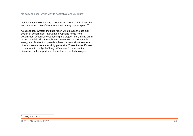individual technologies has a poor track record both in Australia and overseas. Little of the announced money is ever spent.<sup>42</sup>

A subsequent Grattan Institute report will discuss the optimal design of government intervention. Options range from government essentially sponsoring the project itself, taking on all of the material risks, through to schemes such as renewable energy certificates that provide a financial reward to the operator of any low-emissions electricity generator. These trade-offs need to be made in the light of the justifications for intervention discussed in this report, and the nature of the technologies.

 $\overline{a}$ <sup>42</sup> Daley*, et al.* (2011)

GRATTAN Institute 2012 24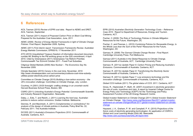# **6 References**

ACIL Tasman (2010) *Review of EPRI cost data.* Report to AEMO and DRET, ACIL Tasman, September

ACIL Tasman (2011) *Impact of Proposed Carbon Price on Black Coal Mining*  Prepared for the Australian Coal Association, June, 2011

AEMC (2009) *Review of Energy Market Frameworks in light of Climate Change Policies: Final Report,* September 2009, Sydney

AEMC (2011) *First interim report: Transmission Frameworks Review.* Australian Energy Markets Commission, EPR0019, 17 November 2011

ATO (2010) Unpublished Treasury freedom of information document document, number 66; Briefing to the PM working group on the G20 commitment, 4 April 2010. Cited by Greenpeace (2011) Greenpeace Tas Reform Priorities Commonwealth Tax SUmmit October 2011 - Fossil Fuel Subsidies.

Citigroup Global Markets (2009) *New Nuclear – The Economics Say No*. November 2009.

Climate Spectator (2010) *Canary in the coal mine,* November, 2010 http://www.climatespectator.com.au/commentary/cobbora-coal-mine-subsidyutilities-power-electricity-price-carbon-price

Committee on Climate Change (2010) *Building a low-carbon economy – the UK's innovation challenge.* Committee on Climate Change, July. London.

Courtney, H (2001) *20/20 foresight: crafting strategy in an uncertain world.*  Harvard Business School Press, Boston, MA

CSIRO (2011) *Unlocking Australia's Energy Potential.* Commonwealth Scientific and Industry Research Organisation. Newcastle.

Daley, J., Edis, T. and Reichl, J. (2011) *Learning the hard way: Australian policies to reduce carbon emissions.* Grattan Institute. Melbourne.

Denniss, R. and Macintosh, A. (2011) *Complementary or contradictory? An analysis of the design of climate policies in Australia,* Policy Brief No. 22, February 2011. The Australia Institute.

DCCEE (2011) *Australia's Emissions Projections 2010.* Commonwealth of Australia. Canberra, ACT.

EPRI (2010) *Australian Electricity Generation Technology Costs – Reference Case 2010.* Report to Department of Resources, Energy and Tourism. Canberra, ACT.

Fischer, C (2009) *The Role of Technology Policies in Climate Mitigation*  Resources for the Future, Washington, DC

Fischer, C. and Preonas, L. (2010) *Combining Policies for Renewable Energy, Is the Whole Less than the Sum of the Parts?* Resources for the Future, Washington, DC

Garnaut, R. (2008) *The Garnaut Climate Change Review - Final Report.* Cambridge University Press. Port Melbourne.

Garnaut (2011) Australia in the Global Response to Climate Change. Commonwealth of Australia, ACT, Cambridge University Press

Garnaut, R. (2011a) *Update Paper 6: Carbon Pricing and Reducing Australia's Emissions.* Commonwealth of Australia. Canberra, ACT.

Garnaut, R. (2011b) *Update Paper 8: Transforming the Electricity Sector*  Commonwealth of Australia, Canberra, ACT.

Garnaut, R. (2011c) *Update Paper 7: Low emissions technology and the innovation challenge.* Commonwealth of Australia, Canberra, ACT.

Global CCS Institute (2011) *The global status of CCS: 2011.* Canberra, ACT

Gross, R., Heptonstall, P., Blyth, W. (2007) *Investment in electricity generation: the role of costs, incentives and risks.* A report by Imperial College Centre for Energy Policy and Technology (ICEPT) for the Technology and Policy Assessment Function of the UK Energy Research Centre.

Global Investor Statement on Climate Change (2011) *Global Investor Statement on Climate Change*. http://www.ceres.org/files/press-files/2011-global-investorstatement-on-climate-change/official-2011-global-investor-statement-on-climatechange.

Hayward, J. A., Graham, P. W. and Campbell, P. K. (2010) *Projections of the future costs of electricity generating technologies: An application of CSIRO's Global and Local Learning Model (GALLM).* Newcastle. http://www.csiro.au/resources/GALLM-report.html.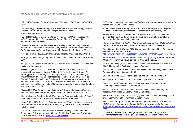IEA (2010) *Projected Costs of Generating Electricity: 2010 Edition.* OECD/IEA. Paris.

IEA Bioenergy (2009) *Bioenergy – a Sustainable and Reliable Energy Source.* International Energy Agency Bioenergy Secretariat. Paris. www.ieabioenergy.com.

IES (2011) Intelligent Energy Systems, *Review of Fuel Costs - A Report to AEMO.* January 2011. From Australian Energy Market Operator's 2011 Statement of Opportunities.

Investor Reference Group on Investment Activity in the Electricity Generation Sector (2011) *Investment Reference Group Report to Commonwealth Minister for Resources and Energy*. Commonwealth of Australia, Canberra, ACT.

Keystone Centre (2007) *Nuclear power joing fact-finding*. June 2007. Colorado.

MCE (2010) *Rule change request - Scale efficient Network Extensions,* February 2010

MIT (2009) *An update of the MIT 2003 Future of nuclear power.* . Massachusetts Institute of Technology.

Mitchell, C.,J.L Sawin, G.R. Pokharel, D. Lammen, Z. Wang, S. Fifita, M. Jaccard, O. Lanhniss, H. Lucas, A. Nadai, R. Trujillo Blanco, E. Usher, A. Verbruggen, R. Wustenhagen, K. Yamaguchi, (2011): *Policy, Financing and Implementation.* In IPCC Special Report on Renewable Energy Sources and Climate Change Mitigation [O.Edenhofer, R. Pichs-Madruga, Y. Sokana, K. Seyboth, P. Matschoss, S. Kadner, T. Zwickel, P. Eickemeier, H. Hansen, S. Schlomer, C. von Stechow (eds)], Cambridge University Press, United Kingdom and New York, NY, USA.

MMA (2002) *Modelling the Price of Renewable Energy Certificates Under the Mandatory Renewable Energy Target.* Report to ORER, M. M. A. P. Ltd.

Moody's Investor Services (2008) *New Nuclear Generating Capacity: Potential Credit Implications for U.S. Investor Owned Utilities*. May 2008.

Neuhoff, K. (2010) *Carbon pricing and Investment Response - Ideas emerging from Roundtable 5th February 2010*. Hosted by DIW Berlin, Climate Policy Initiative, Berlin.

OECD (2011a) *Interactions Between Emission Trading Systems and Other Overlapping Policy Instruments.* General Distribution Document, Environment Directorate, OECD. Paris. www.oecd.org/env/taxes.

OECD (2011b) *Inventory of estimated budgetary support and tax expenditure for fossil fuels.* OECD, October. Paris.

Parer (2002) *Towards a truly national and efficient energy market.* Report to Council of Australian Governments, Commonwealth of Australia, 2002

Peetermans, J. (2011) *Greenhouse Gas Market Report 2011 – Asia and Beyond: the Roadmap to Global Carbon & Energy Markets.* International Emissions Trading Association. Geneva.

Pfund, N. and Healy, B. (2011) *What would Jefferson do? The Historical role of Federal subsidies in shaping America's energy future.* DBL investors.

Point Carbon (2011) *Carbon 2011*. Carbon Market Insights 2011, Amsterdam, Thomson Reuters Point Carbon. http://www.pointcarbon.com/polopoly\_fs/1.1545244!Carbon%202011\_web.pdf.

Prime Minister's Task Group on Emissions Trading (2007) *Report of the Prime Minister's Task Group on Emissions Trading.* Canberra, ACT.

ROAM Consulting (2011) *Projections of Electricity Generation in Australia to 2050.* Report to the Australian Treasury, August.

Severance, C. (2009) *Business risks and costs of new nuclear power.* Centre for American Progress, 5 January 2009.

Shell International (2007) *Technology Futures*. Shell International BV.

SKM-MMA (2011) *LRMC Curves*. Sinclair Knight Merz, Melbourne.

Stern, N. (2007) *The economics of climate change: The Stern Review.* Cambridge University Press. Cambridge.

Stern, N. H. (2007) *Stern Review: The economics of climate change*. H. Treasury. Cambridge University Press, Cambridge.

The Australian Treasury (2011) *Strong growth, low pollution: modelling a carbon price.* Commonwealth of Australia. Canberra ACT.

The Climate Group, Ecofin Research Foundation and Global CCS Institute (2010) *Carbon Capture and Storage: Mobilising Provate Sector Finance.* www.theclimategroup.org/publications/2010/9/20/ccs-mobilising-private-sectorfinance.

UK BERR (2007) *Nuclear power generation cost benefit analysis*. UK Department for Business Enterprise and Regulatory Reform, April 2007.